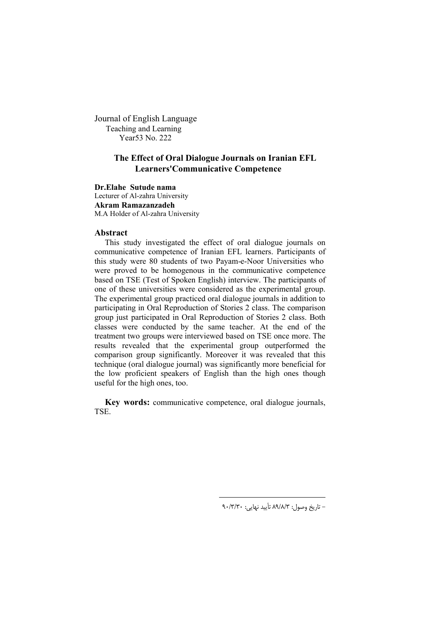Journal of English Language Teaching and Learning Year53 No. 222

# **The Effect of Oral Dialogue Journals on Iranian EFL Learners'Communicative Competence**

# **Dr.Elahe Sutude nama**

Lecturer of Al-zahra University **Akram Ramazanzadeh** M.A Holder of Al-zahra University

# **Abstract**

This study investigated the effect of oral dialogue journals on communicative competence of Iranian EFL learners. Participants of this study were 80 students of two Payam-e-Noor Universities who were proved to be homogenous in the communicative competence based on TSE (Test of Spoken English) interview. The participants of one of these universities were considered as the experimental group. The experimental group practiced oral dialogue journals in addition to participating in Oral Reproduction of Stories 2 class. The comparison group just participated in Oral Reproduction of Stories 2 class. Both classes were conducted by the same teacher. At the end of the treatment two groups were interviewed based on TSE once more. The results revealed that the experimental group outperformed the comparison group significantly. Moreover it was revealed that this technique (oral dialogue journal) was significantly more beneficial for the low proficient speakers of English than the high ones though useful for the high ones, too.

**Key words:** communicative competence, oral dialogue journals, TSE.

 $\overline{a}$ 

۹۰/۳/۳۰ تاریخ وصول: ۸۹/۸/۳ تأیید نهایی: ۹۰/۳/۳۰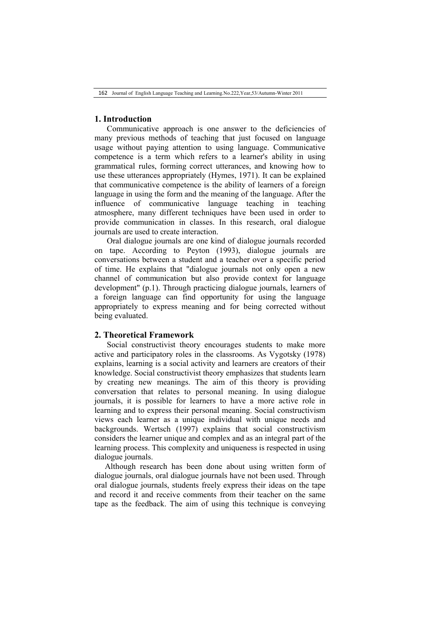# **1. Introduction**

Communicative approach is one answer to the deficiencies of many previous methods of teaching that just focused on language usage without paying attention to using language. Communicative competence is a term which refers to a learner's ability in using grammatical rules, forming correct utterances, and knowing how to use these utterances appropriately (Hymes, 1971). It can be explained that communicative competence is the ability of learners of a foreign language in using the form and the meaning of the language. After the influence of communicative language teaching in teaching atmosphere, many different techniques have been used in order to provide communication in classes. In this research, oral dialogue journals are used to create interaction.

Oral dialogue journals are one kind of dialogue journals recorded on tape. According to Peyton (1993), dialogue journals are conversations between a student and a teacher over a specific period of time. He explains that "dialogue journals not only open a new channel of communication but also provide context for language development" (p.1). Through practicing dialogue journals, learners of a foreign language can find opportunity for using the language appropriately to express meaning and for being corrected without being evaluated.

# **2. Theoretical Framework**

Social constructivist theory encourages students to make more active and participatory roles in the classrooms. As Vygotsky (1978) explains, learning is a social activity and learners are creators of their knowledge. Social constructivist theory emphasizes that students learn by creating new meanings. The aim of this theory is providing conversation that relates to personal meaning. In using dialogue journals, it is possible for learners to have a more active role in learning and to express their personal meaning. Social constructivism views each learner as a unique individual with unique needs and backgrounds. Wertsch (1997) explains that social constructivism considers the learner unique and complex and as an integral part of the learning process. This complexity and uniqueness is respected in using dialogue journals.

Although research has been done about using written form of dialogue journals, oral dialogue journals have not been used. Through oral dialogue journals, students freely express their ideas on the tape and record it and receive comments from their teacher on the same tape as the feedback. The aim of using this technique is conveying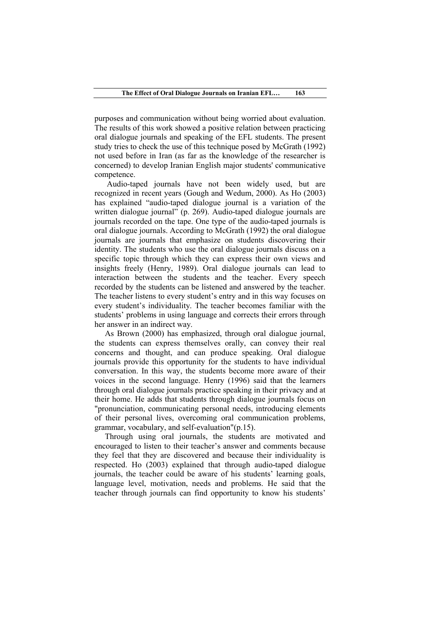purposes and communication without being worried about evaluation. The results of this work showed a positive relation between practicing oral dialogue journals and speaking of the EFL students. The present study tries to check the use of this technique posed by McGrath (1992) not used before in Iran (as far as the knowledge of the researcher is concerned) to develop Iranian English major students' communicative competence.

Audio-taped journals have not been widely used, but are recognized in recent years (Gough and Wedum, 2000). As Ho (2003) has explained "audio-taped dialogue journal is a variation of the written dialogue journal" (p. 269). Audio-taped dialogue journals are journals recorded on the tape. One type of the audio-taped journals is oral dialogue journals. According to McGrath (1992) the oral dialogue journals are journals that emphasize on students discovering their identity. The students who use the oral dialogue journals discuss on a specific topic through which they can express their own views and insights freely (Henry, 1989). Oral dialogue journals can lead to interaction between the students and the teacher. Every speech recorded by the students can be listened and answered by the teacher. The teacher listens to every student's entry and in this way focuses on every student's individuality. The teacher becomes familiar with the students' problems in using language and corrects their errors through her answer in an indirect way.

As Brown (2000) has emphasized, through oral dialogue journal, the students can express themselves orally, can convey their real concerns and thought, and can produce speaking. Oral dialogue journals provide this opportunity for the students to have individual conversation. In this way, the students become more aware of their voices in the second language. Henry (1996) said that the learners through oral dialogue journals practice speaking in their privacy and at their home. He adds that students through dialogue journals focus on "pronunciation, communicating personal needs, introducing elements of their personal lives, overcoming oral communication problems, grammar, vocabulary, and self-evaluation"(p.15).

Through using oral journals, the students are motivated and encouraged to listen to their teacher's answer and comments because they feel that they are discovered and because their individuality is respected. Ho (2003) explained that through audio-taped dialogue journals, the teacher could be aware of his students' learning goals, language level, motivation, needs and problems. He said that the teacher through journals can find opportunity to know his students'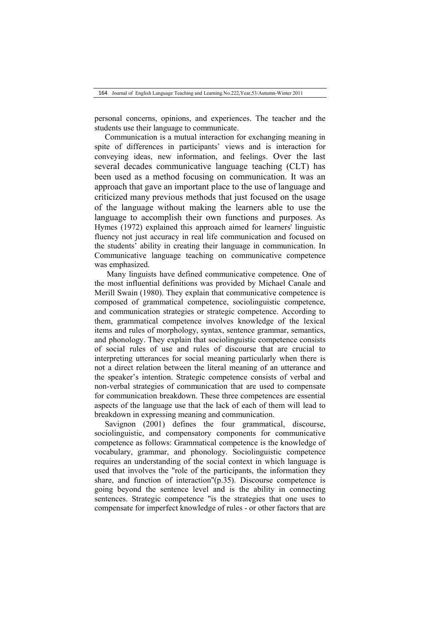personal concerns, opinions, and experiences. The teacher and the students use their language to communicate.

Communication is a mutual interaction for exchanging meaning in spite of differences in participants' views and is interaction for conveying ideas, new information, and feelings. Over the last several decades communicative language teaching (CLT) has been used as a method focusing on communication. It was an approach that gave an important place to the use of language and criticized many previous methods that just focused on the usage of the language without making the learners able to use the language to accomplish their own functions and purposes. As Hymes (1972) explained this approach aimed for learners' linguistic fluency not just accuracy in real life communication and focused on the students' ability in creating their language in communication. In Communicative language teaching on communicative competence was emphasized.

Many linguists have defined communicative competence. One of the most influential definitions was provided by Michael Canale and Merill Swain (1980). They explain that communicative competence is composed of grammatical competence, sociolinguistic competence, and communication strategies or strategic competence. According to them, grammatical competence involves knowledge of the lexical items and rules of morphology, syntax, sentence grammar, semantics, and phonology. They explain that sociolinguistic competence consists of social rules of use and rules of discourse that are crucial to interpreting utterances for social meaning particularly when there is not a direct relation between the literal meaning of an utterance and the speaker's intention. Strategic competence consists of verbal and non-verbal strategies of communication that are used to compensate for communication breakdown. These three competences are essential aspects of the language use that the lack of each of them will lead to breakdown in expressing meaning and communication.

Savignon (2001) defines the four grammatical, discourse, sociolinguistic, and compensatory components for communicative competence as follows: Grammatical competence is the knowledge of vocabulary, grammar, and phonology. Sociolinguistic competence requires an understanding of the social context in which language is used that involves the "role of the participants, the information they share, and function of interaction"(p.35). Discourse competence is going beyond the sentence level and is the ability in connecting sentences. Strategic competence "is the strategies that one uses to compensate for imperfect knowledge of rules - or other factors that are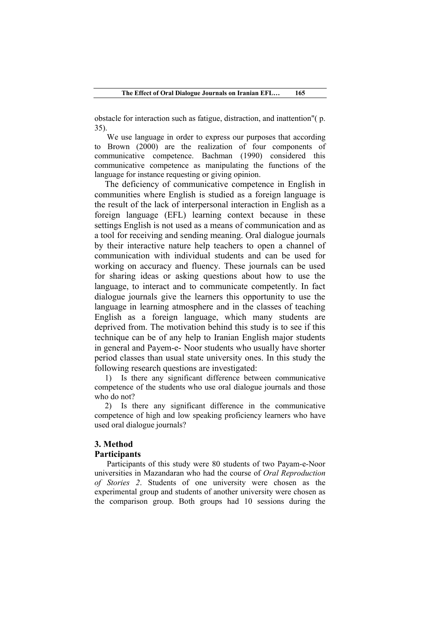obstacle for interaction such as fatigue, distraction, and inattention"( p. 35).

We use language in order to express our purposes that according to Brown (2000) are the realization of four components of communicative competence. Bachman (1990) considered this communicative competence as manipulating the functions of the language for instance requesting or giving opinion.

The deficiency of communicative competence in English in communities where English is studied as a foreign language is the result of the lack of interpersonal interaction in English as a foreign language (EFL) learning context because in these settings English is not used as a means of communication and as a tool for receiving and sending meaning. Oral dialogue journals by their interactive nature help teachers to open a channel of communication with individual students and can be used for working on accuracy and fluency. These journals can be used for sharing ideas or asking questions about how to use the language, to interact and to communicate competently. In fact dialogue journals give the learners this opportunity to use the language in learning atmosphere and in the classes of teaching English as a foreign language, which many students are deprived from. The motivation behind this study is to see if this technique can be of any help to Iranian English major students in general and Payem-e- Noor students who usually have shorter period classes than usual state university ones. In this study the following research questions are investigated:

1) Is there any significant difference between communicative competence of the students who use oral dialogue journals and those who do not?

2) Is there any significant difference in the communicative competence of high and low speaking proficiency learners who have used oral dialogue journals?

# **3. Method**

### **Participants**

Participants of this study were 80 students of two Payam-e-Noor universities in Mazandaran who had the course of *Oral Reproduction of Stories 2*. Students of one university were chosen as the experimental group and students of another university were chosen as the comparison group. Both groups had 10 sessions during the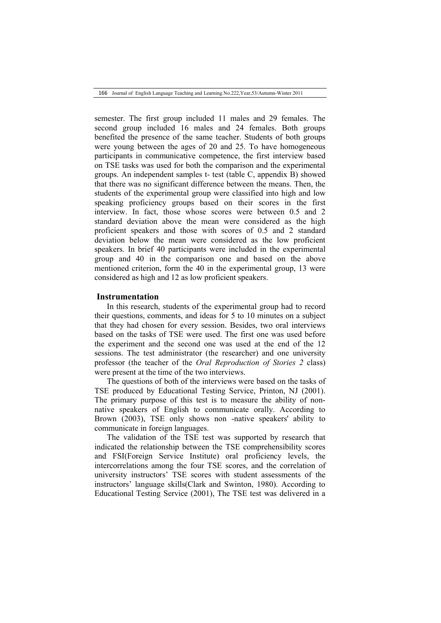166 Journal of English Language Teaching and Learning.No.222,Year,53/Autumn-Winter 2011

semester. The first group included 11 males and 29 females. The second group included 16 males and 24 females. Both groups benefited the presence of the same teacher. Students of both groups were young between the ages of 20 and 25. To have homogeneous participants in communicative competence, the first interview based on TSE tasks was used for both the comparison and the experimental groups. An independent samples t- test (table C, appendix B) showed that there was no significant difference between the means. Then, the students of the experimental group were classified into high and low speaking proficiency groups based on their scores in the first interview. In fact, those whose scores were between 0.5 and 2 standard deviation above the mean were considered as the high proficient speakers and those with scores of 0.5 and 2 standard deviation below the mean were considered as the low proficient speakers. In brief 40 participants were included in the experimental group and 40 in the comparison one and based on the above mentioned criterion, form the 40 in the experimental group, 13 were considered as high and 12 as low proficient speakers.

### **Instrumentation**

In this research, students of the experimental group had to record their questions, comments, and ideas for 5 to 10 minutes on a subject that they had chosen for every session. Besides, two oral interviews based on the tasks of TSE were used. The first one was used before the experiment and the second one was used at the end of the 12 sessions. The test administrator (the researcher) and one university professor (the teacher of the *Oral Reproduction of Stories 2* class) were present at the time of the two interviews.

The questions of both of the interviews were based on the tasks of TSE produced by Educational Testing Service, Printon, NJ (2001). The primary purpose of this test is to measure the ability of nonnative speakers of English to communicate orally. According to Brown (2003), TSE only shows non -native speakers' ability to communicate in foreign languages.

The validation of the TSE test was supported by research that indicated the relationship between the TSE comprehensibility scores and FSI(Foreign Service Institute) oral proficiency levels, the intercorrelations among the four TSE scores, and the correlation of university instructors' TSE scores with student assessments of the instructors' language skills(Clark and Swinton, 1980). According to Educational Testing Service (2001), The TSE test was delivered in a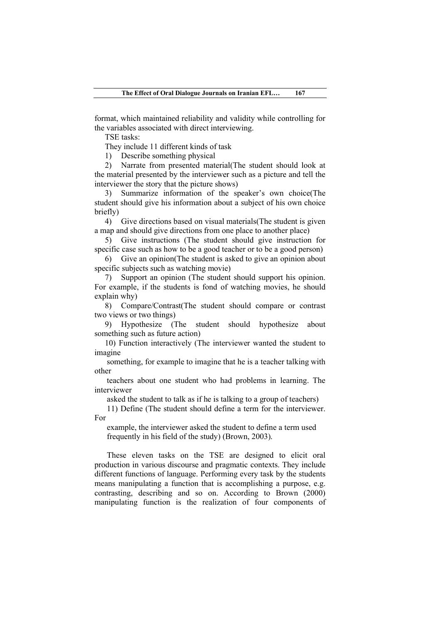format, which maintained reliability and validity while controlling for the variables associated with direct interviewing.

TSE tasks:

They include 11 different kinds of task

1) Describe something physical

2) Narrate from presented material(The student should look at the material presented by the interviewer such as a picture and tell the interviewer the story that the picture shows)

3) Summarize information of the speaker's own choice(The student should give his information about a subject of his own choice briefly)

4) Give directions based on visual materials(The student is given a map and should give directions from one place to another place)

5) Give instructions (The student should give instruction for specific case such as how to be a good teacher or to be a good person)

6) Give an opinion(The student is asked to give an opinion about specific subjects such as watching movie)

7) Support an opinion (The student should support his opinion. For example, if the students is fond of watching movies, he should explain why)

8) Compare/Contrast(The student should compare or contrast two views or two things)

9) Hypothesize (The student should hypothesize about something such as future action)

10) Function interactively (The interviewer wanted the student to imagine

something, for example to imagine that he is a teacher talking with other

teachers about one student who had problems in learning. The interviewer

asked the student to talk as if he is talking to a group of teachers)

11) Define (The student should define a term for the interviewer. For

example, the interviewer asked the student to define a term used frequently in his field of the study) (Brown, 2003).

These eleven tasks on the TSE are designed to elicit oral production in various discourse and pragmatic contexts. They include different functions of language. Performing every task by the students means manipulating a function that is accomplishing a purpose, e.g. contrasting, describing and so on. According to Brown (2000) manipulating function is the realization of four components of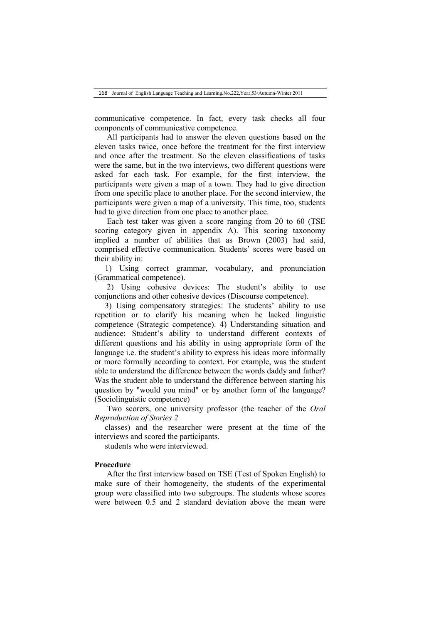communicative competence. In fact, every task checks all four components of communicative competence.

All participants had to answer the eleven questions based on the eleven tasks twice, once before the treatment for the first interview and once after the treatment. So the eleven classifications of tasks were the same, but in the two interviews, two different questions were asked for each task. For example, for the first interview, the participants were given a map of a town. They had to give direction from one specific place to another place. For the second interview, the participants were given a map of a university. This time, too, students had to give direction from one place to another place.

Each test taker was given a score ranging from 20 to 60 (TSE scoring category given in appendix A). This scoring taxonomy implied a number of abilities that as Brown (2003) had said, comprised effective communication. Students' scores were based on their ability in:

1) Using correct grammar, vocabulary, and pronunciation (Grammatical competence).

2) Using cohesive devices: The student's ability to use conjunctions and other cohesive devices (Discourse competence).

3) Using compensatory strategies: The students' ability to use repetition or to clarify his meaning when he lacked linguistic competence (Strategic competence). 4) Understanding situation and audience: Student's ability to understand different contexts of different questions and his ability in using appropriate form of the language i.e. the student's ability to express his ideas more informally or more formally according to context. For example, was the student able to understand the difference between the words daddy and father? Was the student able to understand the difference between starting his question by "would you mind" or by another form of the language? (Sociolinguistic competence)

Two scorers, one university professor (the teacher of the *Oral Reproduction of Stories 2*

classes) and the researcher were present at the time of the interviews and scored the participants.

students who were interviewed.

# **Procedure**

After the first interview based on TSE (Test of Spoken English) to make sure of their homogeneity, the students of the experimental group were classified into two subgroups. The students whose scores were between 0.5 and 2 standard deviation above the mean were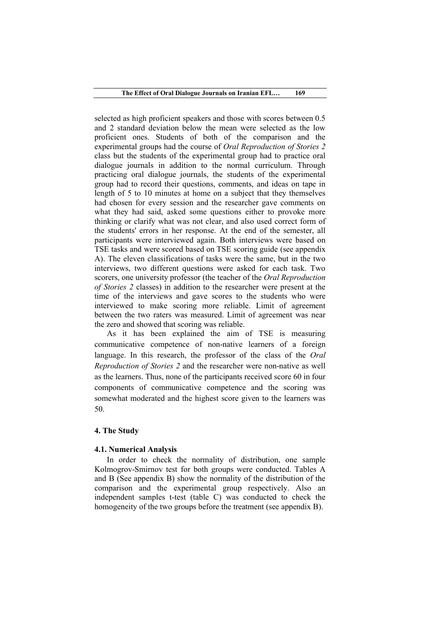selected as high proficient speakers and those with scores between 0.5 and 2 standard deviation below the mean were selected as the low proficient ones. Students of both of the comparison and the experimental groups had the course of *Oral Reproduction of Stories 2* class but the students of the experimental group had to practice oral dialogue journals in addition to the normal curriculum. Through practicing oral dialogue journals, the students of the experimental group had to record their questions, comments, and ideas on tape in length of 5 to 10 minutes at home on a subject that they themselves had chosen for every session and the researcher gave comments on what they had said, asked some questions either to provoke more thinking or clarify what was not clear, and also used correct form of the students' errors in her response. At the end of the semester, all participants were interviewed again. Both interviews were based on TSE tasks and were scored based on TSE scoring guide (see appendix A). The eleven classifications of tasks were the same, but in the two interviews, two different questions were asked for each task. Two scorers, one university professor (the teacher of the *Oral Reproduction of Stories 2* classes) in addition to the researcher were present at the time of the interviews and gave scores to the students who were interviewed to make scoring more reliable. Limit of agreement between the two raters was measured. Limit of agreement was near the zero and showed that scoring was reliable.

As it has been explained the aim of TSE is measuring communicative competence of non-native learners of a foreign language. In this research, the professor of the class of the *Oral Reproduction of Stories 2* and the researcher were non-native as well as the learners. Thus, none of the participants received score 60 in four components of communicative competence and the scoring was somewhat moderated and the highest score given to the learners was 50.

## **4. The Study**

## **4.1. Numerical Analysis**

In order to check the normality of distribution, one sample Kolmogrov-Smirnov test for both groups were conducted. Tables A and B (See appendix B) show the normality of the distribution of the comparison and the experimental group respectively. Also an independent samples t-test (table C) was conducted to check the homogeneity of the two groups before the treatment (see appendix B).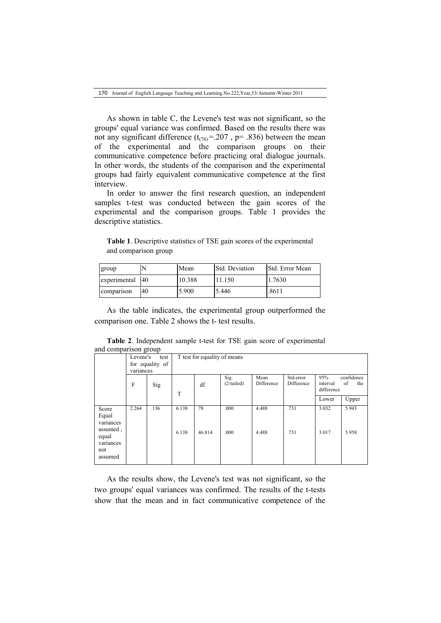As shown in table C, the Levene's test was not significant, so the groups' equal variance was confirmed. Based on the results there was not any significant difference  $(t_{(78)} = .207, p = .836)$  between the mean of the experimental and the comparison groups on their communicative competence before practicing oral dialogue journals. In other words, the students of the comparison and the experimental groups had fairly equivalent communicative competence at the first interview.

In order to answer the first research question, an independent samples t-test was conducted between the gain scores of the experimental and the comparison groups. Table 1 provides the descriptive statistics.

**Table 1**. Descriptive statistics of TSE gain scores of the experimental and comparison group

| group            |    | Mean   | <b>Std. Deviation</b> | <b>Std.</b> Error Mean |
|------------------|----|--------|-----------------------|------------------------|
| experimental 140 |    | 10.388 | 11.150                | 1.7630                 |
| comparison       | 40 | 5.900  | 5.446                 | .8611                  |

As the table indicates, the experimental group outperformed the comparison one. Table 2 shows the t- test results.

**Table 2**. Independent sample t-test for TSE gain score of experimental and comparison group

|                                                  | Levene's                     | test |       | T test for equality of means |                      |                    |                         |                               |                         |
|--------------------------------------------------|------------------------------|------|-------|------------------------------|----------------------|--------------------|-------------------------|-------------------------------|-------------------------|
|                                                  | for equality of<br>variances |      |       |                              |                      |                    |                         |                               |                         |
|                                                  | F                            | Sig  | T     | df                           | Sig.<br>$(2-tailed)$ | Mean<br>Difference | Std.error<br>Difference | 95%<br>interval<br>difference | confidence<br>of<br>the |
|                                                  |                              |      |       |                              |                      |                    |                         | Lower                         | Upper                   |
| Score<br>Equal<br>variances                      | 2.264                        | .136 | 6.138 | 78                           | .000                 | 4.488              | .731                    | 3.032                         | 5.943                   |
| assumed,<br>equal<br>variances<br>not<br>assumed |                              |      | 6.138 | 46.814                       | .000                 | 4.488              | .731                    | 3.017                         | 5.958                   |

As the results show, the Levene's test was not significant, so the two groups' equal variances was confirmed. The results of the t-tests show that the mean and in fact communicative competence of the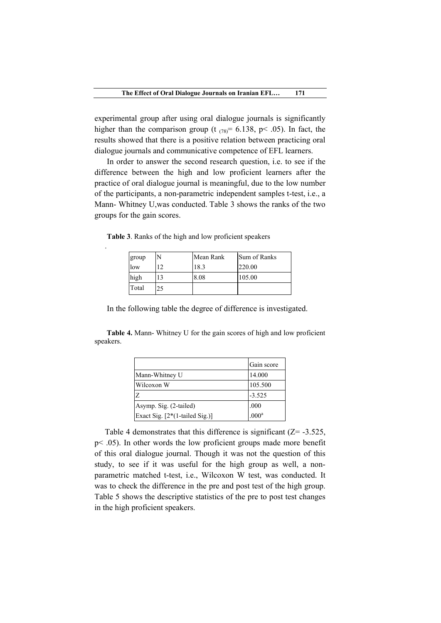experimental group after using oral dialogue journals is significantly higher than the comparison group (t  $_{(78)}$ = 6.138, p < .05). In fact, the results showed that there is a positive relation between practicing oral dialogue journals and communicative competence of EFL learners.

In order to answer the second research question, i.e. to see if the difference between the high and low proficient learners after the practice of oral dialogue journal is meaningful, due to the low number of the participants, a non-parametric independent samples t-test, i.e., a Mann- Whitney U,was conducted. Table 3 shows the ranks of the two groups for the gain scores.

| group |    | Mean Rank | Sum of Ranks |
|-------|----|-----------|--------------|
| low   | 12 | 18.3      | 220.00       |
| high  | 13 | 8.08      | 105.00       |
| Total | 25 |           |              |

**Table 3**. Ranks of the high and low proficient speakers

.

In the following table the degree of difference is investigated.

**Table 4.** Mann- Whitney U for the gain scores of high and low proficient speakers.

|                                  | Gain score        |
|----------------------------------|-------------------|
| Mann-Whitney U                   | 14.000            |
| Wilcoxon W                       | 105.500           |
| Z                                | $-3.525$          |
| Asymp. Sig. (2-tailed)           | .000              |
| Exact Sig. $[2*(1-tailed Sig.)]$ | .000 <sup>a</sup> |

Table 4 demonstrates that this difference is significant  $(Z = -3.525$ , p< .05). In other words the low proficient groups made more benefit of this oral dialogue journal. Though it was not the question of this study, to see if it was useful for the high group as well, a nonparametric matched t-test, i.e., Wilcoxon W test, was conducted. It was to check the difference in the pre and post test of the high group. Table 5 shows the descriptive statistics of the pre to post test changes in the high proficient speakers.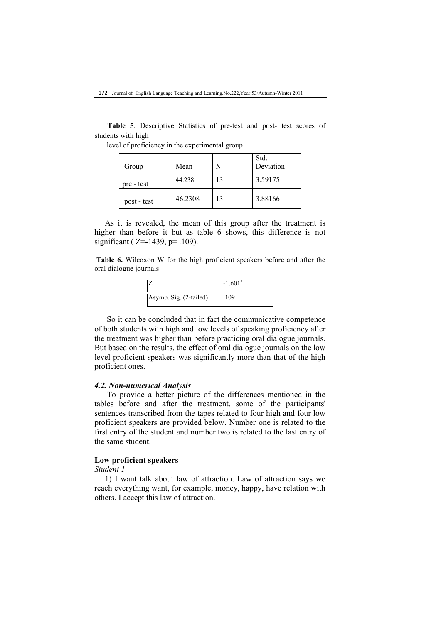**Table 5**. Descriptive Statistics of pre-test and post- test scores of students with high

|             |         |    | Std.      |
|-------------|---------|----|-----------|
| Group       | Mean    | N  | Deviation |
| pre - test  | 44.238  | 13 | 3.59175   |
| post - test | 46.2308 | 13 | 3.88166   |

level of proficiency in the experimental group

As it is revealed, the mean of this group after the treatment is higher than before it but as table 6 shows, this difference is not significant ( Z=-1439, p= .109).

**Table 6.** Wilcoxon W for the high proficient speakers before and after the oral dialogue journals



So it can be concluded that in fact the communicative competence of both students with high and low levels of speaking proficiency after the treatment was higher than before practicing oral dialogue journals. But based on the results, the effect of oral dialogue journals on the low level proficient speakers was significantly more than that of the high proficient ones.

### *4.2. Non-numerical Analysis*

To provide a better picture of the differences mentioned in the tables before and after the treatment, some of the participants' sentences transcribed from the tapes related to four high and four low proficient speakers are provided below. Number one is related to the first entry of the student and number two is related to the last entry of the same student.

# **Low proficient speakers**

### *Student 1*

1) I want talk about law of attraction. Law of attraction says we reach everything want, for example, money, happy, have relation with others. I accept this law of attraction.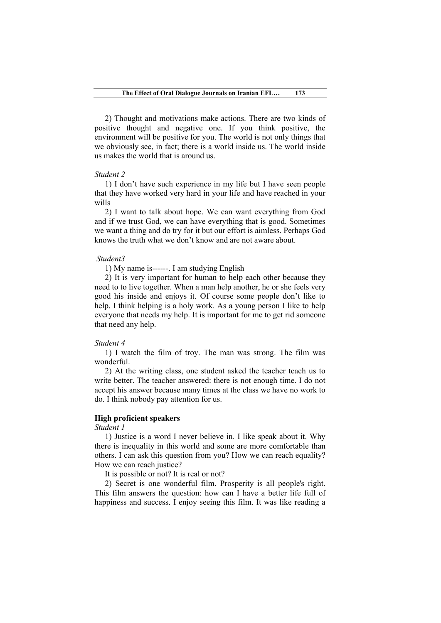2) Thought and motivations make actions. There are two kinds of positive thought and negative one. If you think positive, the environment will be positive for you. The world is not only things that we obviously see, in fact; there is a world inside us. The world inside us makes the world that is around us.

### *Student 2*

1) I don't have such experience in my life but I have seen people that they have worked very hard in your life and have reached in your wills

2) I want to talk about hope. We can want everything from God and if we trust God, we can have everything that is good. Sometimes we want a thing and do try for it but our effort is aimless. Perhaps God knows the truth what we don't know and are not aware about.

#### *Student3*

1) My name is------. I am studying English

2) It is very important for human to help each other because they need to to live together. When a man help another, he or she feels very good his inside and enjoys it. Of course some people don't like to help. I think helping is a holy work. As a young person I like to help everyone that needs my help. It is important for me to get rid someone that need any help.

#### *Student 4*

1) I watch the film of troy. The man was strong. The film was wonderful.

2) At the writing class, one student asked the teacher teach us to write better. The teacher answered: there is not enough time. I do not accept his answer because many times at the class we have no work to do. I think nobody pay attention for us.

# **High proficient speakers**

*Student 1*

1) Justice is a word I never believe in. I like speak about it. Why there is inequality in this world and some are more comfortable than others. I can ask this question from you? How we can reach equality? How we can reach justice?

It is possible or not? It is real or not?

2) Secret is one wonderful film. Prosperity is all people's right. This film answers the question: how can I have a better life full of happiness and success. I enjoy seeing this film. It was like reading a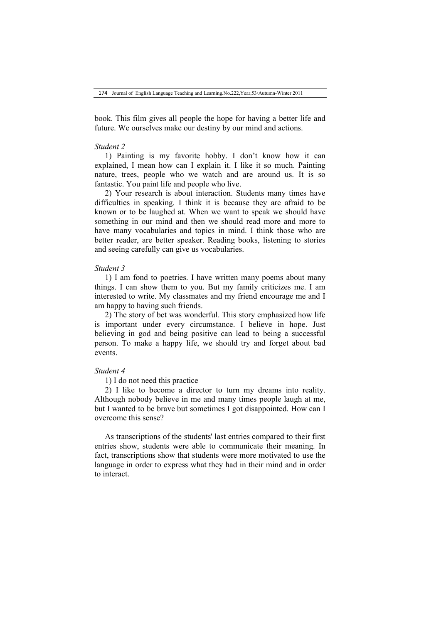174 Journal of English Language Teaching and Learning.No.222,Year,53/Autumn-Winter 2011

book. This film gives all people the hope for having a better life and future. We ourselves make our destiny by our mind and actions.

#### *Student 2*

1) Painting is my favorite hobby. I don't know how it can explained, I mean how can I explain it. I like it so much. Painting nature, trees, people who we watch and are around us. It is so fantastic. You paint life and people who live.

2) Your research is about interaction. Students many times have difficulties in speaking. I think it is because they are afraid to be known or to be laughed at. When we want to speak we should have something in our mind and then we should read more and more to have many vocabularies and topics in mind. I think those who are better reader, are better speaker. Reading books, listening to stories and seeing carefully can give us vocabularies.

### *Student 3*

1) I am fond to poetries. I have written many poems about many things. I can show them to you. But my family criticizes me. I am interested to write. My classmates and my friend encourage me and I am happy to having such friends.

2) The story of bet was wonderful. This story emphasized how life is important under every circumstance. I believe in hope. Just believing in god and being positive can lead to being a successful person. To make a happy life, we should try and forget about bad events.

### *Student 4*

1) I do not need this practice

2) I like to become a director to turn my dreams into reality. Although nobody believe in me and many times people laugh at me, but I wanted to be brave but sometimes I got disappointed. How can I overcome this sense?

As transcriptions of the students' last entries compared to their first entries show, students were able to communicate their meaning. In fact, transcriptions show that students were more motivated to use the language in order to express what they had in their mind and in order to interact.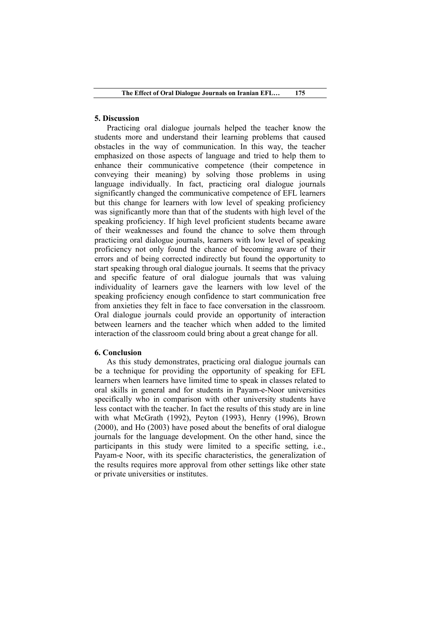# **5. Discussion**

Practicing oral dialogue journals helped the teacher know the students more and understand their learning problems that caused obstacles in the way of communication. In this way, the teacher emphasized on those aspects of language and tried to help them to enhance their communicative competence (their competence in conveying their meaning) by solving those problems in using language individually. In fact, practicing oral dialogue journals significantly changed the communicative competence of EFL learners but this change for learners with low level of speaking proficiency was significantly more than that of the students with high level of the speaking proficiency. If high level proficient students became aware of their weaknesses and found the chance to solve them through practicing oral dialogue journals, learners with low level of speaking proficiency not only found the chance of becoming aware of their errors and of being corrected indirectly but found the opportunity to start speaking through oral dialogue journals. It seems that the privacy and specific feature of oral dialogue journals that was valuing individuality of learners gave the learners with low level of the speaking proficiency enough confidence to start communication free from anxieties they felt in face to face conversation in the classroom. Oral dialogue journals could provide an opportunity of interaction between learners and the teacher which when added to the limited interaction of the classroom could bring about a great change for all.

## **6. Conclusion**

As this study demonstrates, practicing oral dialogue journals can be a technique for providing the opportunity of speaking for EFL learners when learners have limited time to speak in classes related to oral skills in general and for students in Payam-e-Noor universities specifically who in comparison with other university students have less contact with the teacher. In fact the results of this study are in line with what McGrath (1992), Peyton (1993), Henry (1996), Brown (2000), and Ho (2003) have posed about the benefits of oral dialogue journals for the language development. On the other hand, since the participants in this study were limited to a specific setting, i.e., Payam-e Noor, with its specific characteristics, the generalization of the results requires more approval from other settings like other state or private universities or institutes.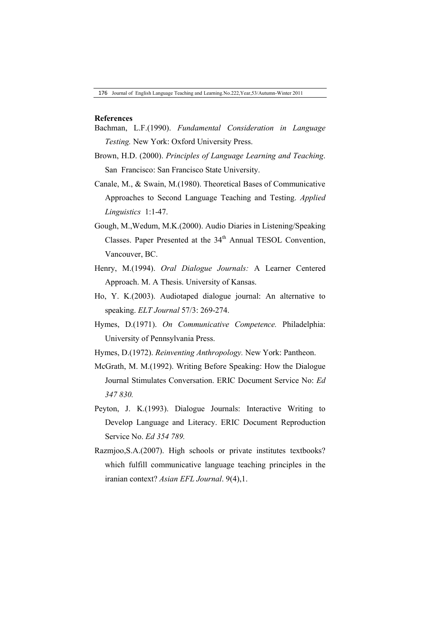### **References**

- Bachman, L.F.(1990). *Fundamental Consideration in Language Testing.* New York: Oxford University Press.
- Brown, H.D. (2000). *Principles of Language Learning and Teaching*. San Francisco: San Francisco State University.
- Canale, M., & Swain, M.(1980). Theoretical Bases of Communicative Approaches to Second Language Teaching and Testing. *Applied Linguistics* 1:1-47.
- Gough, M.,Wedum, M.K.(2000). Audio Diaries in Listening/Speaking Classes. Paper Presented at the 34<sup>th</sup> Annual TESOL Convention, Vancouver, BC.
- Henry, M.(1994). *Oral Dialogue Journals:* A Learner Centered Approach. M. A Thesis. University of Kansas.
- Ho, Y. K.(2003). Audiotaped dialogue journal: An alternative to speaking. *ELT Journal* 57/3: 269-274.
- Hymes, D.(1971). *On Communicative Competence.* Philadelphia: University of Pennsylvania Press.
- Hymes, D.(1972). *Reinventing Anthropology.* New York: Pantheon.
- McGrath, M. M.(1992). Writing Before Speaking: How the Dialogue Journal Stimulates Conversation. ERIC Document Service No: *Ed 347 830.*
- Peyton, J. K.(1993). Dialogue Journals: Interactive Writing to Develop Language and Literacy. ERIC Document Reproduction Service No. *Ed 354 789.*
- Razmjoo,S.A.(2007). High schools or private institutes textbooks? which fulfill communicative language teaching principles in the iranian context? *Asian EFL Journal*. 9(4),1.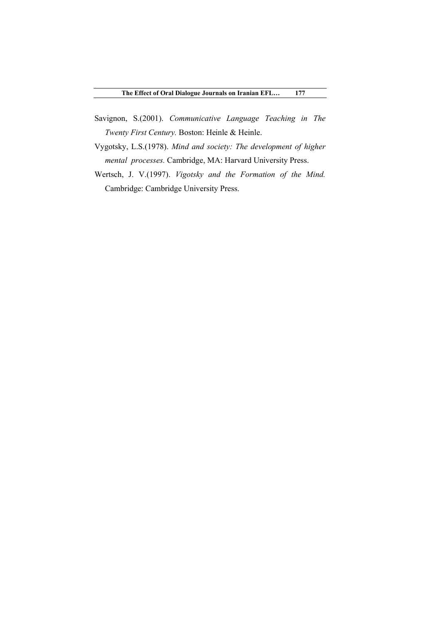- Savignon, S.(2001). *Communicative Language Teaching in The Twenty First Century.* Boston: Heinle & Heinle.
- Vygotsky, L.S.(1978). *Mind and society: The development of higher mental processes.* Cambridge, MA: Harvard University Press.
- Wertsch, J. V.(1997). *Vigotsky and the Formation of the Mind.* Cambridge: Cambridge University Press.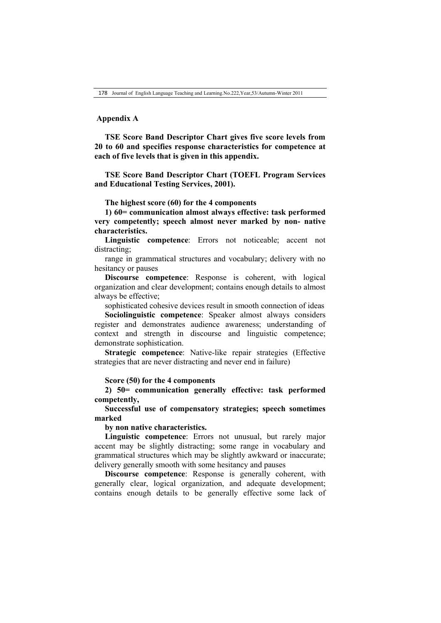### **Appendix A**

**TSE Score Band Descriptor Chart gives five score levels from 20 to 60 and specifies response characteristics for competence at each of five levels that is given in this appendix.** 

**TSE Score Band Descriptor Chart (TOEFL Program Services and Educational Testing Services, 2001).**

**The highest score (60) for the 4 components**

**1) 60= communication almost always effective: task performed very competently; speech almost never marked by non- native characteristics.**

**Linguistic competence**: Errors not noticeable; accent not distracting;

range in grammatical structures and vocabulary; delivery with no hesitancy or pauses

**Discourse competence**: Response is coherent, with logical organization and clear development; contains enough details to almost always be effective;

sophisticated cohesive devices result in smooth connection of ideas

**Sociolinguistic competence**: Speaker almost always considers register and demonstrates audience awareness; understanding of context and strength in discourse and linguistic competence; demonstrate sophistication.

**Strategic competence**: Native-like repair strategies (Effective strategies that are never distracting and never end in failure)

#### **Score (50) for the 4 components**

**2) 50= communication generally effective: task performed competently,** 

**Successful use of compensatory strategies; speech sometimes marked** 

**by non native characteristics.**

**Linguistic competence**: Errors not unusual, but rarely major accent may be slightly distracting; some range in vocabulary and grammatical structures which may be slightly awkward or inaccurate; delivery generally smooth with some hesitancy and pauses

**Discourse competence**: Response is generally coherent, with generally clear, logical organization, and adequate development; contains enough details to be generally effective some lack of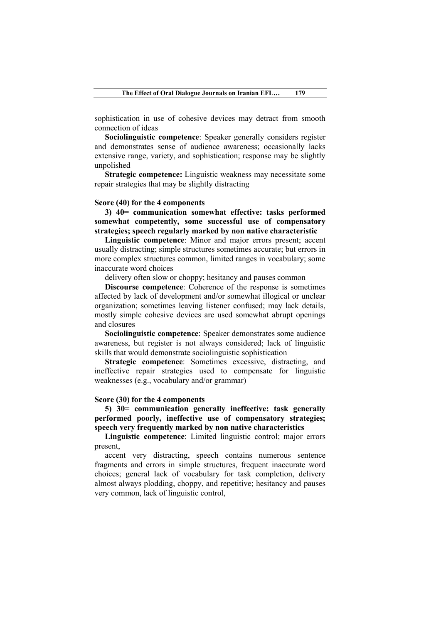sophistication in use of cohesive devices may detract from smooth connection of ideas

**Sociolinguistic competence**: Speaker generally considers register and demonstrates sense of audience awareness; occasionally lacks extensive range, variety, and sophistication; response may be slightly unpolished

**Strategic competence:** Linguistic weakness may necessitate some repair strategies that may be slightly distracting

#### **Score (40) for the 4 components**

**3) 40= communication somewhat effective: tasks performed somewhat competently, some successful use of compensatory strategies; speech regularly marked by non native characteristic**

**Linguistic competence**: Minor and major errors present; accent usually distracting; simple structures sometimes accurate; but errors in more complex structures common, limited ranges in vocabulary; some inaccurate word choices

delivery often slow or choppy; hesitancy and pauses common

**Discourse competence**: Coherence of the response is sometimes affected by lack of development and/or somewhat illogical or unclear organization; sometimes leaving listener confused; may lack details, mostly simple cohesive devices are used somewhat abrupt openings and closures

**Sociolinguistic competence**: Speaker demonstrates some audience awareness, but register is not always considered; lack of linguistic skills that would demonstrate sociolinguistic sophistication

**Strategic competence**: Sometimes excessive, distracting, and ineffective repair strategies used to compensate for linguistic weaknesses (e.g., vocabulary and/or grammar)

## **Score (30) for the 4 components**

**5) 30= communication generally ineffective: task generally performed poorly, ineffective use of compensatory strategies; speech very frequently marked by non native characteristics**

**Linguistic competence**: Limited linguistic control; major errors present,

accent very distracting, speech contains numerous sentence fragments and errors in simple structures, frequent inaccurate word choices; general lack of vocabulary for task completion, delivery almost always plodding, choppy, and repetitive; hesitancy and pauses very common, lack of linguistic control,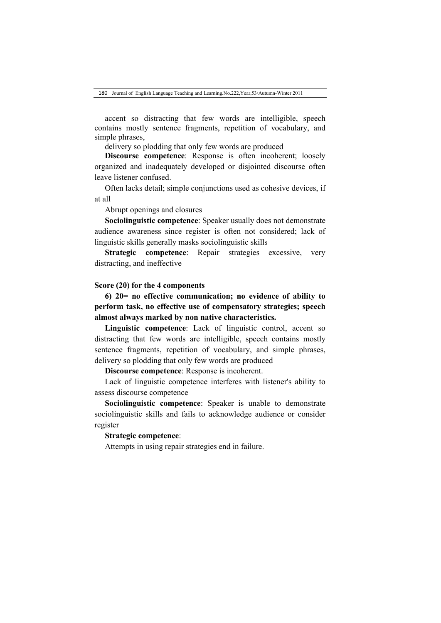accent so distracting that few words are intelligible, speech contains mostly sentence fragments, repetition of vocabulary, and simple phrases,

delivery so plodding that only few words are produced

**Discourse competence**: Response is often incoherent; loosely organized and inadequately developed or disjointed discourse often leave listener confused.

Often lacks detail; simple conjunctions used as cohesive devices, if at all

Abrupt openings and closures

**Sociolinguistic competence**: Speaker usually does not demonstrate audience awareness since register is often not considered; lack of linguistic skills generally masks sociolinguistic skills

**Strategic competence**: Repair strategies excessive, very distracting, and ineffective

### **Score (20) for the 4 components**

**6) 20= no effective communication; no evidence of ability to perform task, no effective use of compensatory strategies; speech almost always marked by non native characteristics.**

**Linguistic competence**: Lack of linguistic control, accent so distracting that few words are intelligible, speech contains mostly sentence fragments, repetition of vocabulary, and simple phrases, delivery so plodding that only few words are produced

**Discourse competence**: Response is incoherent.

Lack of linguistic competence interferes with listener's ability to assess discourse competence

**Sociolinguistic competence**: Speaker is unable to demonstrate sociolinguistic skills and fails to acknowledge audience or consider register

# **Strategic competence**:

Attempts in using repair strategies end in failure.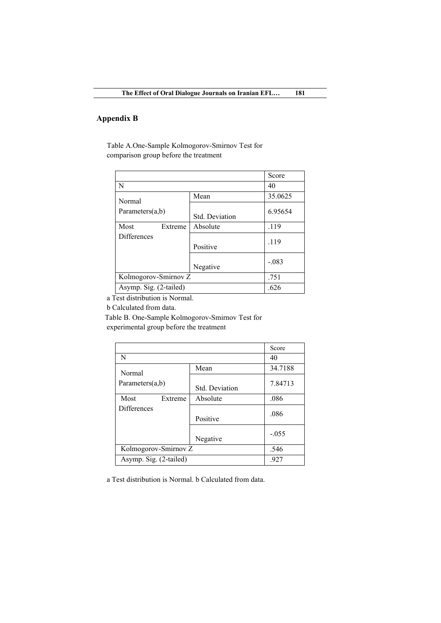# **Appendix B**

Table A.One-Sample Kolmogorov-Smirnov Test for comparison group before the treatment

|                        |                       | Score   |
|------------------------|-----------------------|---------|
| N                      |                       | 40      |
| Normal                 | Mean                  | 35.0625 |
| Parameters $(a,b)$     | <b>Std.</b> Deviation | 6.95654 |
| Most<br>Extreme        | Absolute              | .119    |
| <b>Differences</b>     | Positive              | .119    |
|                        | Negative              | $-.083$ |
| Kolmogorov-Smirnov Z   |                       | .751    |
| Asymp. Sig. (2-tailed) |                       | .626    |

a Test distribution is Normal.

b Calculated from data.

Table B. One-Sample Kolmogorov-Smirnov Test for experimental group before the treatment

|                        |                       | Score   |
|------------------------|-----------------------|---------|
| N                      | 40                    |         |
| Normal                 | Mean                  | 34.7188 |
| Parameters $(a,b)$     | <b>Std. Deviation</b> | 7.84713 |
| Most<br>Extreme        | Absolute              | .086    |
| <b>Differences</b>     | Positive              | .086    |
|                        | Negative              | $-.055$ |
| Kolmogorov-Smirnov Z   |                       | .546    |
| Asymp. Sig. (2-tailed) |                       | .927    |

a Test distribution is Normal. b Calculated from data.